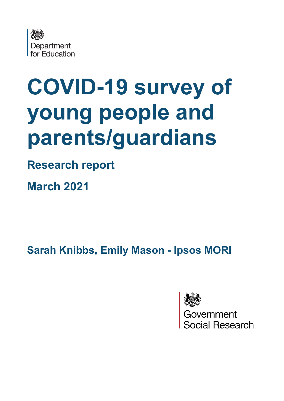

# **COVID-19 survey of young people and parents/guardians**

# **Research report**

**March 2021**

**Sarah Knibbs, Emily Mason - Ipsos MORI** 



Government<br>Social Research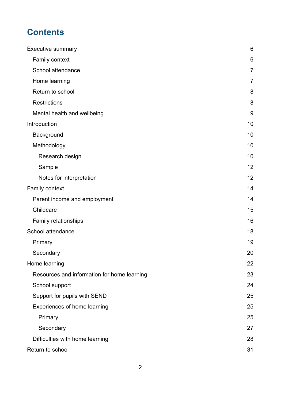# **Contents**

| Executive summary                           | $6\phantom{1}6$ |
|---------------------------------------------|-----------------|
| Family context                              | 6               |
| School attendance                           | $\overline{7}$  |
| Home learning                               | 7               |
| Return to school                            | 8               |
| <b>Restrictions</b>                         | 8               |
| Mental health and wellbeing                 | 9               |
| Introduction                                | 10              |
| Background                                  | 10              |
| Methodology                                 | 10              |
| Research design                             | 10              |
| Sample                                      | 12              |
| Notes for interpretation                    | 12              |
| Family context                              | 14              |
| Parent income and employment                | 14              |
| Childcare                                   | 15              |
| <b>Family relationships</b>                 | 16              |
| School attendance                           | 18              |
| Primary                                     | 19              |
| Secondary                                   | 20              |
| Home learning                               | 22              |
| Resources and information for home learning | 23              |
| School support                              | 24              |
| Support for pupils with SEND                | 25              |
| Experiences of home learning                | 25              |
| Primary                                     | 25              |
| Secondary                                   | 27              |
| Difficulties with home learning             | 28              |
| Return to school                            | 31              |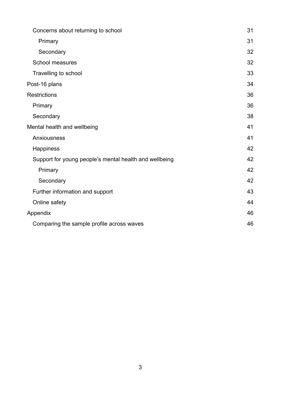| Concerns about returning to school                     | 31 |
|--------------------------------------------------------|----|
| Primary                                                | 31 |
| Secondary                                              | 32 |
| School measures                                        | 32 |
| Travelling to school                                   | 33 |
| Post-16 plans                                          | 34 |
| <b>Restrictions</b>                                    | 36 |
| Primary                                                | 36 |
| Secondary                                              | 38 |
| Mental health and wellbeing                            | 41 |
| Anxiousness                                            | 41 |
| Happiness                                              | 42 |
| Support for young people's mental health and wellbeing | 42 |
| Primary                                                | 42 |
| Secondary                                              | 42 |
| Further information and support                        | 43 |
| Online safety                                          | 44 |
| Appendix                                               | 46 |
| Comparing the sample profile across waves              | 46 |
|                                                        |    |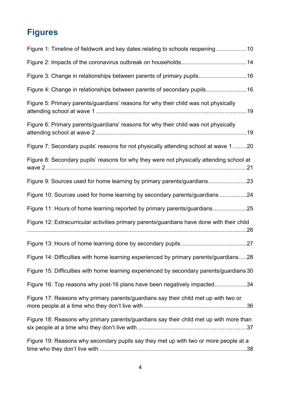# **Figures**

| Figure 1: Timeline of fieldwork and key dates relating to schools reopening 10             |
|--------------------------------------------------------------------------------------------|
|                                                                                            |
| Figure 3: Change in relationships between parents of primary pupils16                      |
| Figure 4: Change in relationships between parents of secondary pupils 16                   |
| Figure 5: Primary parents/guardians' reasons for why their child was not physically        |
| Figure 6: Primary parents/guardians' reasons for why their child was not physically        |
| Figure 7: Secondary pupils' reasons for not physically attending school at wave 120        |
| Figure 8: Secondary pupils' reasons for why they were not physically attending school at   |
| Figure 9: Sources used for home learning by primary parents/guardians23                    |
| Figure 10: Sources used for home learning by secondary parents/guardians 24                |
| Figure 11: Hours of home learning reported by primary parents/guardians25                  |
| Figure 12: Extracurricular activities primary parents/guardians have done with their child |
|                                                                                            |
| Figure 14: Difficulties with home learning experienced by primary parents/guardians28      |
| Figure 15: Difficulties with home learning experienced by secondary parents/guardians 30   |
| Figure 16: Top reasons why post-16 plans have been negatively impacted34                   |
| Figure 17: Reasons why primary parents/guardians say their child met up with two or        |
| Figure 18: Reasons why primary parents/guardians say their child met up with more than     |
| Figure 19: Reasons why secondary pupils say they met up with two or more people at a       |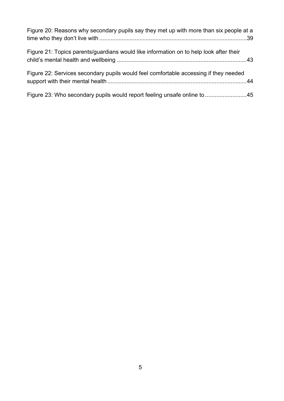| Figure 20: Reasons why secondary pupils say they met up with more than six people at a |  |
|----------------------------------------------------------------------------------------|--|
| Figure 21: Topics parents/guardians would like information on to help look after their |  |
| Figure 22: Services secondary pupils would feel comfortable accessing if they needed   |  |
| Figure 23: Who secondary pupils would report feeling unsafe online to 45               |  |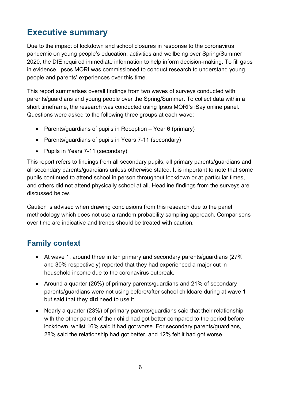# <span id="page-5-0"></span>**Executive summary**

Due to the impact of lockdown and school closures in response to the coronavirus pandemic on young people's education, activities and wellbeing over Spring/Summer 2020, the DfE required immediate information to help inform decision-making. To fill gaps in evidence, Ipsos MORI was commissioned to conduct research to understand young people and parents' experiences over this time.

This report summarises overall findings from two waves of surveys conducted with parents/guardians and young people over the Spring/Summer. To collect data within a short timeframe, the research was conducted using Ipsos MORI's iSay online panel. Questions were asked to the following three groups at each wave:

- Parents/guardians of pupils in Reception Year 6 (primary)
- Parents/guardians of pupils in Years 7-11 (secondary)
- Pupils in Years 7-11 (secondary)

This report refers to findings from all secondary pupils, all primary parents/guardians and all secondary parents/guardians unless otherwise stated. It is important to note that some pupils continued to attend school in person throughout lockdown or at particular times, and others did not attend physically school at all. Headline findings from the surveys are discussed below.

Caution is advised when drawing conclusions from this research due to the panel methodology which does not use a random probability sampling approach. Comparisons over time are indicative and trends should be treated with caution.

# <span id="page-5-1"></span>**Family context**

- At wave 1, around three in ten primary and secondary parents/guardians (27% and 30% respectively) reported that they had experienced a major cut in household income due to the coronavirus outbreak.
- Around a quarter (26%) of primary parents/guardians and 21% of secondary parents/guardians were not using before/after school childcare during at wave 1 but said that they **did** need to use it.
- Nearly a quarter (23%) of primary parents/guardians said that their relationship with the other parent of their child had got better compared to the period before lockdown, whilst 16% said it had got worse. For secondary parents/guardians, 28% said the relationship had got better, and 12% felt it had got worse.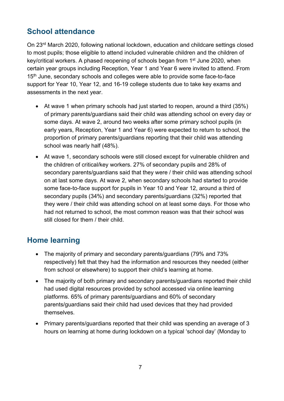# <span id="page-6-0"></span>**School attendance**

On 23rd March 2020, following national lockdown, education and childcare settings closed to most pupils; those eligible to attend included vulnerable children and the children of key/critical workers. A phased reopening of schools began from 1<sup>st</sup> June 2020, when certain year groups including Reception, Year 1 and Year 6 were invited to attend. From 15<sup>th</sup> June, secondary schools and colleges were able to provide some face-to-face support for Year 10, Year 12, and 16-19 college students due to take key exams and assessments in the next year.

- At wave 1 when primary schools had just started to reopen, around a third (35%) of primary parents/guardians said their child was attending school on every day or some days. At wave 2, around two weeks after some primary school pupils (in early years, Reception, Year 1 and Year 6) were expected to return to school, the proportion of primary parents/guardians reporting that their child was attending school was nearly half (48%).
- At wave 1, secondary schools were still closed except for vulnerable children and the children of critical/key workers. 27% of secondary pupils and 28% of secondary parents/guardians said that they were / their child was attending school on at last some days. At wave 2, when secondary schools had started to provide some face-to-face support for pupils in Year 10 and Year 12, around a third of secondary pupils (34%) and secondary parents/guardians (32%) reported that they were / their child was attending school on at least some days. For those who had not returned to school, the most common reason was that their school was still closed for them / their child.

# <span id="page-6-1"></span>**Home learning**

- The majority of primary and secondary parents/guardians (79% and 73% respectively) felt that they had the information and resources they needed (either from school or elsewhere) to support their child's learning at home.
- The majority of both primary and secondary parents/guardians reported their child had used digital resources provided by school accessed via online learning platforms. 65% of primary parents/guardians and 60% of secondary parents/guardians said their child had used devices that they had provided themselves.
- Primary parents/guardians reported that their child was spending an average of 3 hours on learning at home during lockdown on a typical 'school day' (Monday to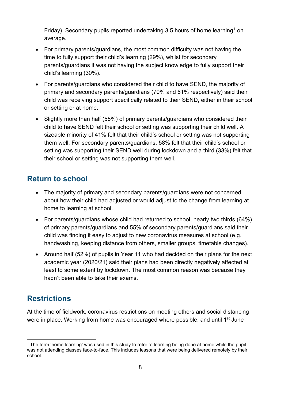Friday). Secondary pupils reported undertaking 3.5 hours of home learning<sup>[1](#page-7-2)</sup> on average.

- For primary parents/guardians, the most common difficulty was not having the time to fully support their child's learning (29%), whilst for secondary parents/guardians it was not having the subject knowledge to fully support their child's learning (30%).
- For parents/guardians who considered their child to have SEND, the majority of primary and secondary parents/guardians (70% and 61% respectively) said their child was receiving support specifically related to their SEND, either in their school or setting or at home.
- Slightly more than half (55%) of primary parents/guardians who considered their child to have SEND felt their school or setting was supporting their child well. A sizeable minority of 41% felt that their child's school or setting was not supporting them well. For secondary parents/guardians, 58% felt that their child's school or setting was supporting their SEND well during lockdown and a third (33%) felt that their school or setting was not supporting them well.

### <span id="page-7-0"></span>**Return to school**

- The majority of primary and secondary parents/guardians were not concerned about how their child had adjusted or would adjust to the change from learning at home to learning at school.
- For parents/guardians whose child had returned to school, nearly two thirds (64%) of primary parents/guardians and 55% of secondary parents/guardians said their child was finding it easy to adjust to new coronavirus measures at school (e.g. handwashing, keeping distance from others, smaller groups, timetable changes).
- Around half (52%) of pupils in Year 11 who had decided on their plans for the next academic year (2020/21) said their plans had been directly negatively affected at least to some extent by lockdown. The most common reason was because they hadn't been able to take their exams.

# <span id="page-7-1"></span>**Restrictions**

At the time of fieldwork, coronavirus restrictions on meeting others and social distancing were in place. Working from home was encouraged where possible, and until 1<sup>st</sup> June

<span id="page-7-2"></span><sup>&</sup>lt;sup>1</sup> The term 'home learning' was used in this study to refer to learning being done at home while the pupil was not attending classes face-to-face. This includes lessons that were being delivered remotely by their school.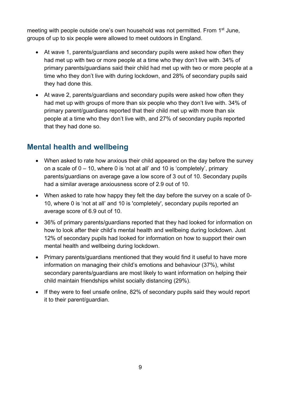meeting with people outside one's own household was not permitted. From 1<sup>st</sup> June, groups of up to six people were allowed to meet outdoors in England.

- At wave 1, parents/guardians and secondary pupils were asked how often they had met up with two or more people at a time who they don't live with. 34% of primary parents/guardians said their child had met up with two or more people at a time who they don't live with during lockdown, and 28% of secondary pupils said they had done this.
- At wave 2, parents/guardians and secondary pupils were asked how often they had met up with groups of more than six people who they don't live with. 34% of primary parent/guardians reported that their child met up with more than six people at a time who they don't live with, and 27% of secondary pupils reported that they had done so.

# <span id="page-8-0"></span>**Mental health and wellbeing**

- When asked to rate how anxious their child appeared on the day before the survey on a scale of 0 – 10, where 0 is 'not at all' and 10 is 'completely', primary parents/guardians on average gave a low score of 3 out of 10. Secondary pupils had a similar average anxiousness score of 2.9 out of 10.
- When asked to rate how happy they felt the day before the survey on a scale of 0- 10, where 0 is 'not at all' and 10 is 'completely', secondary pupils reported an average score of 6.9 out of 10.
- 36% of primary parents/guardians reported that they had looked for information on how to look after their child's mental health and wellbeing during lockdown. Just 12% of secondary pupils had looked for information on how to support their own mental health and wellbeing during lockdown.
- Primary parents/guardians mentioned that they would find it useful to have more information on managing their child's emotions and behaviour (37%), whilst secondary parents/guardians are most likely to want information on helping their child maintain friendships whilst socially distancing (29%).
- If they were to feel unsafe online, 82% of secondary pupils said they would report it to their parent/guardian.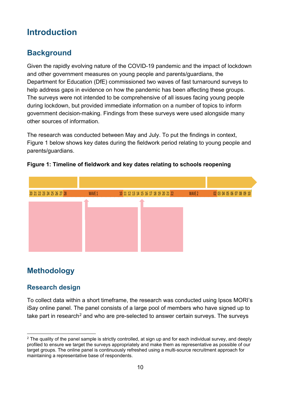# <span id="page-9-0"></span>**Introduction**

# <span id="page-9-1"></span>**Background**

Given the rapidly evolving nature of the COVID-19 pandemic and the impact of lockdown and other government measures on young people and parents/guardians, the Department for Education (DfE) commissioned two waves of fast turnaround surveys to help address gaps in evidence on how the pandemic has been affecting these groups. The surveys were not intended to be comprehensive of all issues facing young people during lockdown, but provided immediate information on a number of topics to inform government decision-making. Findings from these surveys were used alongside many other sources of information.

The research was conducted between May and July. To put the findings in context, [Figure 1](#page-9-4) below shows key dates during the fieldwork period relating to young people and parents/guardians.



#### <span id="page-9-4"></span>**Figure 1: Timeline of fieldwork and key dates relating to schools reopening**

# <span id="page-9-2"></span>**Methodology**

### <span id="page-9-3"></span>**Research design**

To collect data within a short timeframe, the research was conducted using Ipsos MORI's iSay online panel. The panel consists of a large pool of members who have signed up to take part in research<sup>[2](#page-9-5)</sup> and who are pre-selected to answer certain surveys. The surveys

<span id="page-9-5"></span> $2$  The quality of the panel sample is strictly controlled, at sign up and for each individual survey, and deeply profiled to ensure we target the surveys appropriately and make them as representative as possible of our target groups. The online panel is continuously refreshed using a multi-source recruitment approach for maintaining a representative base of respondents.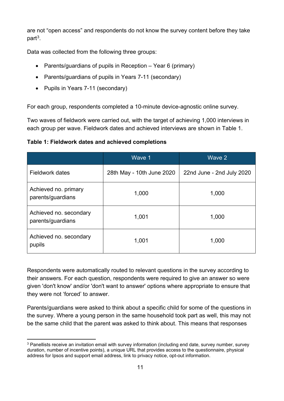are not "open access" and respondents do not know the survey content before they take part[3](#page-10-1).

Data was collected from the following three groups:

- Parents/guardians of pupils in Reception Year 6 (primary)
- Parents/guardians of pupils in Years 7-11 (secondary)
- Pupils in Years 7-11 (secondary)

For each group, respondents completed a 10-minute device-agnostic online survey.

Two waves of fieldwork were carried out, with the target of achieving 1,000 interviews in each group per wave. Fieldwork dates and achieved interviews are shown in [Table 1.](#page-10-0)

<span id="page-10-0"></span>**Table 1: Fieldwork dates and achieved completions**

|                                             | Wave 1                    | Wave 2                    |
|---------------------------------------------|---------------------------|---------------------------|
| <b>Fieldwork dates</b>                      | 28th May - 10th June 2020 | 22nd June - 2nd July 2020 |
| Achieved no. primary<br>parents/guardians   | 1,000                     | 1,000                     |
| Achieved no. secondary<br>parents/guardians | 1,001                     | 1,000                     |
| Achieved no. secondary<br>pupils            | 1,001                     | 1,000                     |

Respondents were automatically routed to relevant questions in the survey according to their answers. For each question, respondents were required to give an answer so were given 'don't know' and/or 'don't want to answer' options where appropriate to ensure that they were not 'forced' to answer.

Parents/guardians were asked to think about a specific child for some of the questions in the survey. Where a young person in the same household took part as well, this may not be the same child that the parent was asked to think about. This means that responses

<span id="page-10-1"></span><sup>&</sup>lt;sup>3</sup> Panellists receive an invitation email with survey information (including end date, survey number, survey duration, number of incentive points), a unique URL that provides access to the questionnaire, physical address for Ipsos and support email address, link to privacy notice, opt-out information.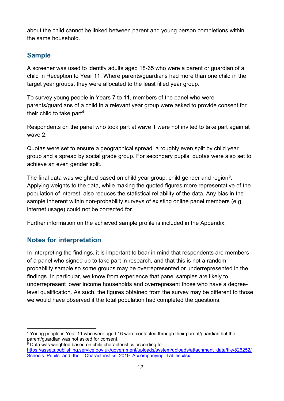about the child cannot be linked between parent and young person completions within the same household.

### <span id="page-11-0"></span>**Sample**

A screener was used to identify adults aged 18-65 who were a parent or guardian of a child in Reception to Year 11. Where parents/guardians had more than one child in the target year groups, they were allocated to the least filled year group.

To survey young people in Years 7 to 11, members of the panel who were parents/guardians of a child in a relevant year group were asked to provide consent for their child to take part[4](#page-11-2).

Respondents on the panel who took part at wave 1 were not invited to take part again at wave 2.

Quotas were set to ensure a geographical spread, a roughly even split by child year group and a spread by social grade group. For secondary pupils, quotas were also set to achieve an even gender split.

The final data was weighted based on child year group, child gender and region<sup>5</sup>. Applying weights to the data, while making the quoted figures more representative of the population of interest, also reduces the statistical reliability of the data. Any bias in the sample inherent within non-probability surveys of existing online panel members (e.g. internet usage) could not be corrected for.

Further information on the achieved sample profile is included in the Appendix.

### <span id="page-11-1"></span>**Notes for interpretation**

In interpreting the findings, it is important to bear in mind that respondents are members of a panel who signed up to take part in research, and that this is not a random probability sample so some groups may be overrepresented or underrepresented in the findings. In particular, we know from experience that panel samples are likely to underrepresent lower income households and overrepresent those who have a degreelevel qualification. As such, the figures obtained from the survey may be different to those we would have observed if the total population had completed the questions.

<span id="page-11-2"></span><sup>4</sup> Young people in Year 11 who were aged 16 were contacted through their parent/guardian but the parent/guardian was not asked for consent.

<span id="page-11-3"></span> $5$  Data was weighted based on child characteristics according to [https://assets.publishing.service.gov.uk/government/uploads/system/uploads/attachment\\_data/file/826252/](https://assets.publishing.service.gov.uk/government/uploads/system/uploads/attachment_data/file/826252/Schools_Pupils_and_their_Characteristics_2019_Accompanying_Tables.xlsx) Schools Pupils and their Characteristics 2019 Accompanying Tables.xlsx.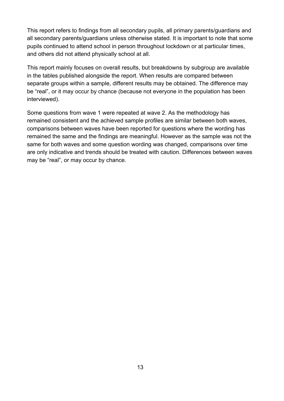This report refers to findings from all secondary pupils, all primary parents/guardians and all secondary parents/guardians unless otherwise stated. It is important to note that some pupils continued to attend school in person throughout lockdown or at particular times, and others did not attend physically school at all.

This report mainly focuses on overall results, but breakdowns by subgroup are available in the tables published alongside the report. When results are compared between separate groups within a sample, different results may be obtained. The difference may be "real", or it may occur by chance (because not everyone in the population has been interviewed).

Some questions from wave 1 were repeated at wave 2. As the methodology has remained consistent and the achieved sample profiles are similar between both waves, comparisons between waves have been reported for questions where the wording has remained the same and the findings are meaningful. However as the sample was not the same for both waves and some question wording was changed, comparisons over time are only indicative and trends should be treated with caution. Differences between waves may be "real", or may occur by chance.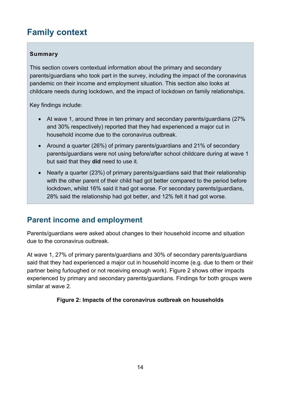# <span id="page-13-0"></span>**Family context**

#### **Summary**

This section covers contextual information about the primary and secondary parents/guardians who took part in the survey, including the impact of the coronavirus pandemic on their income and employment situation. This section also looks at childcare needs during lockdown, and the impact of lockdown on family relationships.

Key findings include:

- At wave 1, around three in ten primary and secondary parents/guardians (27% and 30% respectively) reported that they had experienced a major cut in household income due to the coronavirus outbreak.
- Around a quarter (26%) of primary parents/guardians and 21% of secondary parents/guardians were not using before/after school childcare during at wave 1 but said that they **did** need to use it.
- Nearly a quarter (23%) of primary parents/guardians said that their relationship with the other parent of their child had got better compared to the period before lockdown, whilst 16% said it had got worse. For secondary parents/guardians, 28% said the relationship had got better, and 12% felt it had got worse.

# <span id="page-13-1"></span>**Parent income and employment**

Parents/guardians were asked about changes to their household income and situation due to the coronavirus outbreak.

At wave 1, 27% of primary parents/guardians and 30% of secondary parents/guardians said that they had experienced a major cut in household income (e.g. due to them or their partner being furloughed or not receiving enough work). [Figure 2](#page-13-2) shows other impacts experienced by primary and secondary parents/guardians. Findings for both groups were similar at wave 2.

#### <span id="page-13-2"></span>**Figure 2: Impacts of the coronavirus outbreak on households**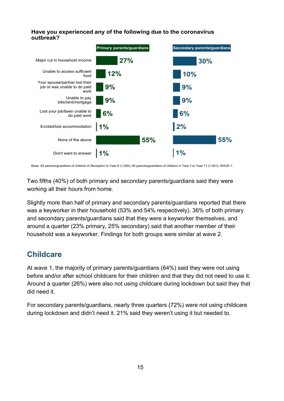#### **Have you experienced any of the following due to the coronavirus outbreak?**



Base: All parents/guardians of children in Reception to Year 6 (1,000); All parents/guardians of children in Year 7 to Year 11 (1,001). WAVE 1.

Two fifths (40%) of both primary and secondary parents/guardians said they were working all their hours from home.

Slightly more than half of primary and secondary parents/guardians reported that there was a keyworker in their household (53% and 54% respectively). 36% of both primary and secondary parents/guardians said that they were a keyworker themselves, and around a quarter (23% primary, 25% secondary) said that another member of their household was a keyworker. Findings for both groups were similar at wave 2.

# <span id="page-14-0"></span>**Childcare**

At wave 1, the majority of primary parents/guardians (64%) said they were not using before and/or after school childcare for their children and that they did not need to use it. Around a quarter (26%) were also not using childcare during lockdown but said they that did need it.

For secondary parents/guardians, nearly three quarters (72%) were not using childcare during lockdown and didn't need it. 21% said they weren't using it but needed to.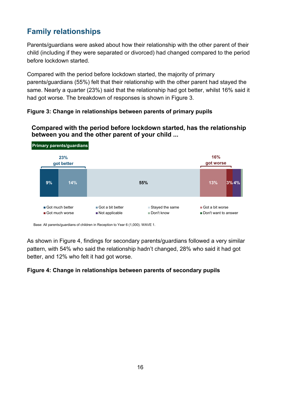# <span id="page-15-0"></span>**Family relationships**

Parents/guardians were asked about how their relationship with the other parent of their child (including if they were separated or divorced) had changed compared to the period before lockdown started.

Compared with the period before lockdown started, the majority of primary parents/guardians (55%) felt that their relationship with the other parent had stayed the same. Nearly a quarter (23%) said that the relationship had got better, whilst 16% said it had got worse. The breakdown of responses is shown in [Figure 3.](#page-15-1)

#### <span id="page-15-1"></span>**Figure 3: Change in relationships between parents of primary pupils**



#### **Compared with the period before lockdown started, has the relationship between you and the other parent of your child ...**

Base: All parents/guardians of children in Reception to Year 6 (1,000). WAVE 1.

As shown in [Figure 4,](#page-15-2) findings for secondary parents/guardians followed a very similar pattern, with 54% who said the relationship hadn't changed, 28% who said it had got better, and 12% who felt it had got worse.

#### <span id="page-15-2"></span>**Figure 4: Change in relationships between parents of secondary pupils**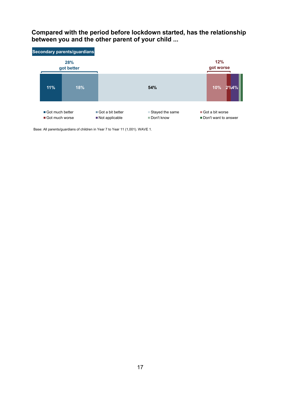#### **Compared with the period before lockdown started, has the relationship between you and the other parent of your child ...**



Base: All parents/guardians of children in Year 7 to Year 11 (1,001). WAVE 1.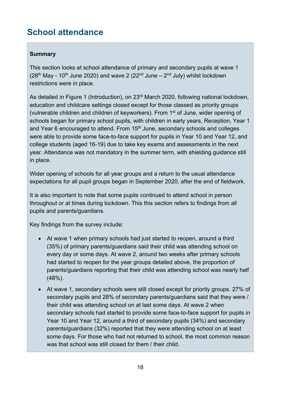# <span id="page-17-0"></span>**School attendance**

#### **Summary**

This section looks at school attendance of primary and secondary pupils at wave 1 ( $28<sup>th</sup>$  May - 10<sup>th</sup> June 2020) and wave 2 ( $22<sup>nd</sup>$  June –  $2<sup>nd</sup>$  July) whilst lockdown restrictions were in place.

As detailed in [Figure 1](#page-9-4) (Introduction), on 23<sup>rd</sup> March 2020, following national lockdown, education and childcare settings closed except for those classed as priority groups (vulnerable children and children of keyworkers). From 1<sup>st</sup> of June, wider opening of schools began for primary school pupils, with children in early years, Reception, Year 1 and Year 6 encouraged to attend. From 15<sup>th</sup> June, secondary schools and colleges were able to provide some face-to-face support for pupils in Year 10 and Year 12, and college students (aged 16-19) due to take key exams and assessments in the next year. Attendance was not mandatory in the summer term, with shielding guidance still in place.

Wider opening of schools for all year groups and a return to the usual attendance expectations for all pupil groups began in September 2020, after the end of fieldwork.

It is also important to note that some pupils continued to attend school in person throughout or at times during lockdown. This this section refers to findings from all pupils and parents/guardians.

Key findings from the survey include:

- At wave 1 when primary schools had just started to reopen, around a third (35%) of primary parents/guardians said their child was attending school on every day or some days. At wave 2, around two weeks after primary schools had started to reopen for the year groups detailed above, the proportion of parents/guardians reporting that their child was attending school was nearly half (48%).
- At wave 1, secondary schools were still closed except for priority groups. 27% of secondary pupils and 28% of secondary parents/guardians said that they were / their child was attending school on at last some days. At wave 2 when secondary schools had started to provide some face-to-face support for pupils in Year 10 and Year 12, around a third of secondary pupils (34%) and secondary parents/guardians (32%) reported that they were attending school on at least some days. For those who had not returned to school, the most common reason was that school was still closed for them / their child.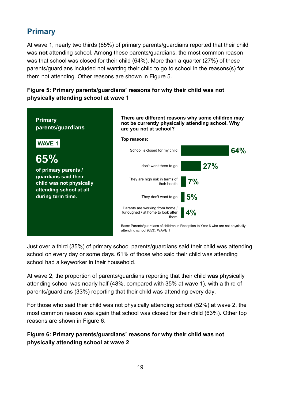# <span id="page-18-0"></span>**Primary**

At wave 1, nearly two thirds (65%) of primary parents/guardians reported that their child was **not** attending school. Among these parents/guardians, the most common reason was that school was closed for their child (64%). More than a quarter (27%) of these parents/guardians included not wanting their child to go to school in the reasons(s) for them not attending. Other reasons are shown in [Figure 5.](#page-18-1)

#### <span id="page-18-1"></span>**Figure 5: Primary parents/guardians' reasons for why their child was not physically attending school at wave 1**



Just over a third (35%) of primary school parents/guardians said their child was attending school on every day or some days. 61% of those who said their child was attending school had a keyworker in their household.

At wave 2, the proportion of parents/guardians reporting that their child **was** physically attending school was nearly half (48%, compared with 35% at wave 1), with a third of parents/guardians (33%) reporting that their child was attending every day.

For those who said their child was not physically attending school (52%) at wave 2, the most common reason was again that school was closed for their child (63%). Other top reasons are shown in [Figure 6.](#page-18-2)

#### <span id="page-18-2"></span>**Figure 6: Primary parents/guardians' reasons for why their child was not physically attending school at wave 2**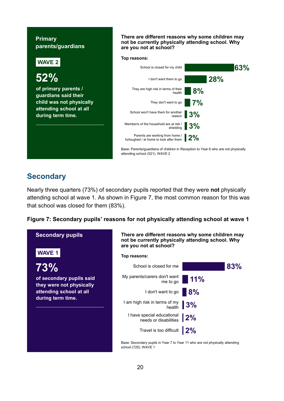#### **Primary parents/guardians**



**are you not at school?**

### <span id="page-19-0"></span>**Secondary**

Nearly three quarters (73%) of secondary pupils reported that they were **not** physically attending school at wave 1. As shown in [Figure 7,](#page-19-1) the most common reason for this was that school was closed for them (83%).

#### <span id="page-19-1"></span>**Figure 7: Secondary pupils' reasons for not physically attending school at wave 1**



**There are different reasons why some children may not be currently physically attending school. Why are you not at school?**

**There are different reasons why some children may not be currently physically attending school. Why** 

**Top reasons:**



Base: Secondary pupils in Year 7 to Year 11 who are not physically attending school (725). WAVE 1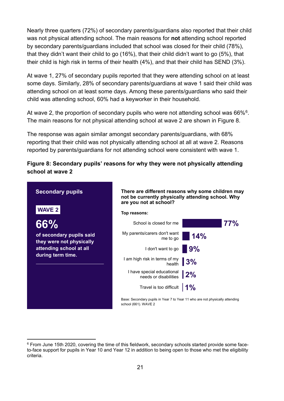Nearly three quarters (72%) of secondary parents/guardians also reported that their child was not physical attending school. The main reasons for **not** attending school reported by secondary parents/guardians included that school was closed for their child (78%), that they didn't want their child to go (16%), that their child didn't want to go (5%), that their child is high risk in terms of their health (4%), and that their child has SEND (3%).

At wave 1, 27% of secondary pupils reported that they were attending school on at least some days. Similarly, 28% of secondary parents/guardians at wave 1 said their child was attending school on at least some days. Among these parents/guardians who said their child was attending school, 60% had a keyworker in their household.

At wave 2, the proportion of secondary pupils who were not attending school was [6](#page-20-1)6%<sup>6</sup>. The main reasons for not physical attending school at wave 2 are shown in [Figure 8.](#page-20-0)

The response was again similar amongst secondary parents/guardians, with 68% reporting that their child was not physically attending school at all at wave 2. Reasons reported by parents/guardians for not attending school were consistent with wave 1.

#### <span id="page-20-0"></span>**Figure 8: Secondary pupils' reasons for why they were not physically attending school at wave 2**



<span id="page-20-1"></span><sup>6</sup> From June 15th 2020, covering the time of this fieldwork, secondary schools started provide some faceto-face support for pupils in Year 10 and Year 12 in addition to being open to those who met the eligibility criteria.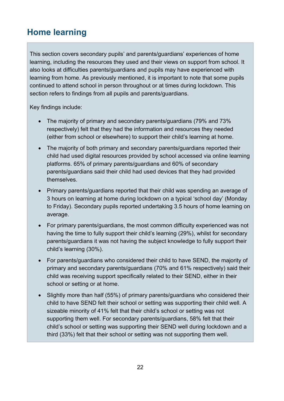# <span id="page-21-0"></span>**Home learning**

This section covers secondary pupils' and parents/guardians' experiences of home learning, including the resources they used and their views on support from school. It also looks at difficulties parents/guardians and pupils may have experienced with learning from home. As previously mentioned, it is important to note that some pupils continued to attend school in person throughout or at times during lockdown. This section refers to findings from all pupils and parents/guardians.

Key findings include:

- The majority of primary and secondary parents/guardians (79% and 73% respectively) felt that they had the information and resources they needed (either from school or elsewhere) to support their child's learning at home.
- The majority of both primary and secondary parents/guardians reported their child had used digital resources provided by school accessed via online learning platforms. 65% of primary parents/guardians and 60% of secondary parents/guardians said their child had used devices that they had provided themselves.
- Primary parents/guardians reported that their child was spending an average of 3 hours on learning at home during lockdown on a typical 'school day' (Monday to Friday). Secondary pupils reported undertaking 3.5 hours of home learning on average.
- For primary parents/guardians, the most common difficulty experienced was not having the time to fully support their child's learning (29%), whilst for secondary parents/guardians it was not having the subject knowledge to fully support their child's learning (30%).
- For parents/guardians who considered their child to have SEND, the majority of primary and secondary parents/guardians (70% and 61% respectively) said their child was receiving support specifically related to their SEND, either in their school or setting or at home.
- Slightly more than half (55%) of primary parents/guardians who considered their child to have SEND felt their school or setting was supporting their child well. A sizeable minority of 41% felt that their child's school or setting was not supporting them well. For secondary parents/guardians, 58% felt that their child's school or setting was supporting their SEND well during lockdown and a third (33%) felt that their school or setting was not supporting them well.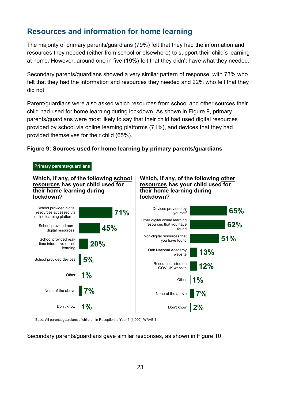# <span id="page-22-0"></span>**Resources and information for home learning**

The majority of primary parents/guardians (79%) felt that they had the information and resources they needed (either from school or elsewhere) to support their child's learning at home. However, around one in five (19%) felt that they didn't have what they needed.

Secondary parents/guardians showed a very similar pattern of response, with 73% who felt that they had the information and resources they needed and 22% who felt that they did not.

Parent/guardians were also asked which resources from school and other sources their child had used for home learning during lockdown. As shown in [Figure 9,](#page-22-1) primary parents/guardians were most likely to say that their child had used digital resources provided by school via online learning platforms (71%), and devices that they had provided themselves for their child (65%).

#### <span id="page-22-1"></span>**Figure 9: Sources used for home learning by primary parents/guardians**



**Which, if any, of the following school resources has your child used for their home learning during lockdown?**

#### **Which, if any, of the following other resources has your child used for their home learning during lockdown?**



Base: All parents/guardians of children in Reception to Year 6 (1,000). WAVE 1.

Secondary parents/guardians gave similar responses, as shown in [Figure 10.](#page-23-1)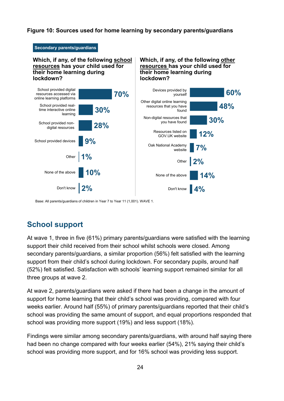#### <span id="page-23-1"></span>**Figure 10: Sources used for home learning by secondary parents/guardians**

#### **Secondary parents/guardians**

#### **Which, if any, of the following school resources has your child used for their home learning during lockdown?**

#### **Which, if any, of the following other resources has your child used for their home learning during lockdown?**



Base: All parents/guardians of children in Year 7 to Year 11 (1,001). WAVE 1.

# <span id="page-23-0"></span>**School support**

At wave 1, three in five (61%) primary parents/guardians were satisfied with the learning support their child received from their school whilst schools were closed. Among secondary parents/guardians, a similar proportion (56%) felt satisfied with the learning support from their child's school during lockdown. For secondary pupils, around half (52%) felt satisfied. Satisfaction with schools' learning support remained similar for all three groups at wave 2.

At wave 2, parents/guardians were asked if there had been a change in the amount of support for home learning that their child's school was providing, compared with four weeks earlier. Around half (55%) of primary parents/guardians reported that their child's school was providing the same amount of support, and equal proportions responded that school was providing more support (19%) and less support (18%).

Findings were similar among secondary parents/guardians, with around half saying there had been no change compared with four weeks earlier (54%), 21% saying their child's school was providing more support, and for 16% school was providing less support.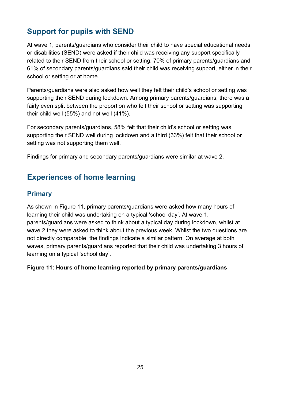# <span id="page-24-0"></span>**Support for pupils with SEND**

At wave 1, parents/guardians who consider their child to have special educational needs or disabilities (SEND) were asked if their child was receiving any support specifically related to their SEND from their school or setting. 70% of primary parents/guardians and 61% of secondary parents/guardians said their child was receiving support, either in their school or setting or at home.

Parents/guardians were also asked how well they felt their child's school or setting was supporting their SEND during lockdown. Among primary parents/guardians, there was a fairly even split between the proportion who felt their school or setting was supporting their child well (55%) and not well (41%).

For secondary parents/guardians, 58% felt that their child's school or setting was supporting their SEND well during lockdown and a third (33%) felt that their school or setting was not supporting them well.

Findings for primary and secondary parents/guardians were similar at wave 2.

# <span id="page-24-1"></span>**Experiences of home learning**

### <span id="page-24-2"></span>**Primary**

As shown in [Figure 11,](#page-24-3) primary parents/guardians were asked how many hours of learning their child was undertaking on a typical 'school day'. At wave 1, parents/guardians were asked to think about a typical day during lockdown, whilst at wave 2 they were asked to think about the previous week. Whilst the two questions are not directly comparable, the findings indicate a similar pattern. On average at both waves, primary parents/guardians reported that their child was undertaking 3 hours of learning on a typical 'school day'.

#### <span id="page-24-3"></span>**Figure 11: Hours of home learning reported by primary parents/guardians**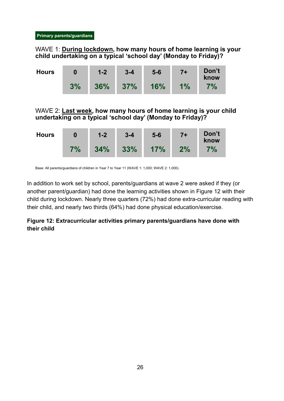#### WAVE 1: **During lockdown, how many hours of home learning is your child undertaking on a typical 'school day' (Monday to Friday)?**

| <b>Hours</b> | 0  | $1 - 2$ | $3 - 4$ | $5-6$ | $7+$  | Don't<br>know |
|--------------|----|---------|---------|-------|-------|---------------|
|              | 3% | 36%     | 37%     | 16%   | $1\%$ | 7%            |

WAVE 2: **Last week, how many hours of home learning is your child undertaking on a typical 'school day' (Monday to Friday)?**

| <b>Hours</b> |    | $1-2$ | $3 - 4$ | $5-6$ | $7+$ | Don't<br>know |
|--------------|----|-------|---------|-------|------|---------------|
|              | 7% | 34%   | 33%     | 17%   | 2%   | $7\%$         |

Base: All parents/guardians of children in Year 7 to Year 11 (WAVE 1: 1,000; WAVE 2: 1,000).

In addition to work set by school, parents/guardians at wave 2 were asked if they (or another parent/guardian) had done the learning activities shown in [Figure 12](#page-25-0) with their child during lockdown. Nearly three quarters (72%) had done extra-curricular reading with their child, and nearly two thirds (64%) had done physical education/exercise.

#### <span id="page-25-0"></span>**Figure 12: Extracurricular activities primary parents/guardians have done with their child**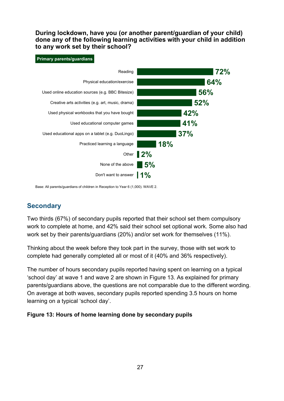**During lockdown, have you (or another parent/guardian of your child) done any of the following learning activities with your child in addition to any work set by their school?**

#### **Primary parents/guardians**



Base: All parents/guardians of children in Reception to Year 6 (1,000). WAVE 2.

### <span id="page-26-0"></span>**Secondary**

Two thirds (67%) of secondary pupils reported that their school set them compulsory work to complete at home, and 42% said their school set optional work. Some also had work set by their parents/guardians (20%) and/or set work for themselves (11%).

Thinking about the week before they took part in the survey, those with set work to complete had generally completed all or most of it (40% and 36% respectively).

The number of hours secondary pupils reported having spent on learning on a typical 'school day' at wave 1 and wave 2 are shown in [Figure 13.](#page-26-1) As explained for primary parents/guardians above, the questions are not comparable due to the different wording. On average at both waves, secondary pupils reported spending 3.5 hours on home learning on a typical 'school day'.

#### <span id="page-26-1"></span>**Figure 13: Hours of home learning done by secondary pupils**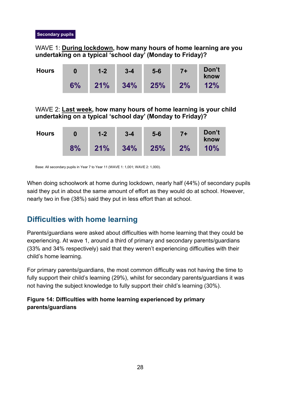#### WAVE 1: **During lockdown, how many hours of home learning are you undertaking on a typical 'school day' (Monday to Friday)?**

| <b>Hours</b> | 0  | $1 - 2$ | $3 - 4$ | $5-6$ | $7+$ | Don't<br>know |
|--------------|----|---------|---------|-------|------|---------------|
|              | 6% | 21%     | 34%     | 25%   | 2%   | 12%           |

WAVE 2: **Last week, how many hours of home learning is your child undertaking on a typical 'school day' (Monday to Friday)?**

| <b>Hours</b> | 0  | $1 - 2$ | $3 - 4$ | $5-6$ | $7+$ | Don't<br>know |
|--------------|----|---------|---------|-------|------|---------------|
|              | 8% | 21%     | 34%     | 25%   | 2%   | 10%           |

Base: All secondary pupils in Year 7 to Year 11 (WAVE 1: 1,001; WAVE 2: 1,000).

When doing schoolwork at home during lockdown, nearly half (44%) of secondary pupils said they put in about the same amount of effort as they would do at school. However, nearly two in five (38%) said they put in less effort than at school.

# <span id="page-27-0"></span>**Difficulties with home learning**

Parents/guardians were asked about difficulties with home learning that they could be experiencing. At wave 1, around a third of primary and secondary parents/guardians (33% and 34% respectively) said that they weren't experiencing difficulties with their child's home learning.

For primary parents/guardians, the most common difficulty was not having the time to fully support their child's learning (29%), whilst for secondary parents/guardians it was not having the subject knowledge to fully support their child's learning (30%).

#### <span id="page-27-1"></span>**Figure 14: Difficulties with home learning experienced by primary parents/guardians**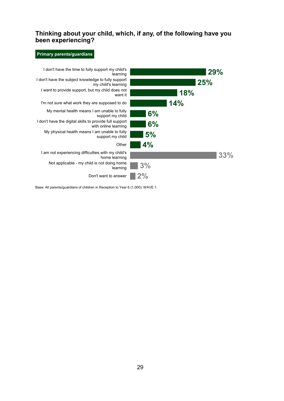#### **Thinking about your child, which, if any, of the following have you been experiencing?**

#### **Primary parents/guardians**



Base: All parents/guardians of children in Reception to Year 6 (1,000). WAVE 1.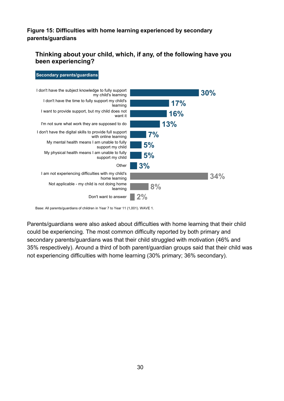#### <span id="page-29-0"></span>**Figure 15: Difficulties with home learning experienced by secondary parents/guardians**

#### **Thinking about your child, which, if any, of the following have you been experiencing?**

#### **Secondary parents/guardians**



Base: All parents/guardians of children in Year 7 to Year 11 (1,001). WAVE 1.

Parents/guardians were also asked about difficulties with home learning that their child could be experiencing. The most common difficulty reported by both primary and secondary parents/guardians was that their child struggled with motivation (46% and 35% respectively). Around a third of both parent/guardian groups said that their child was not experiencing difficulties with home learning (30% primary; 36% secondary).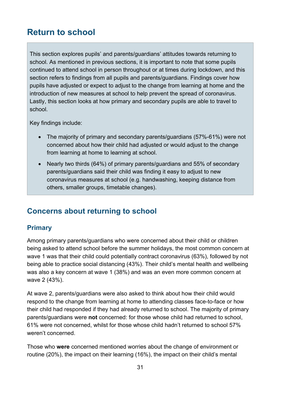# <span id="page-30-0"></span>**Return to school**

This section explores pupils' and parents/guardians' attitudes towards returning to school. As mentioned in previous sections, it is important to note that some pupils continued to attend school in person throughout or at times during lockdown, and this section refers to findings from all pupils and parents/guardians. Findings cover how pupils have adjusted or expect to adjust to the change from learning at home and the introduction of new measures at school to help prevent the spread of coronavirus. Lastly, this section looks at how primary and secondary pupils are able to travel to school.

Key findings include:

- The majority of primary and secondary parents/guardians (57%-61%) were not concerned about how their child had adjusted or would adjust to the change from learning at home to learning at school.
- Nearly two thirds (64%) of primary parents/guardians and 55% of secondary parents/guardians said their child was finding it easy to adjust to new coronavirus measures at school (e.g. handwashing, keeping distance from others, smaller groups, timetable changes).

# <span id="page-30-1"></span>**Concerns about returning to school**

#### <span id="page-30-2"></span>**Primary**

Among primary parents/guardians who were concerned about their child or children being asked to attend school before the summer holidays, the most common concern at wave 1 was that their child could potentially contract coronavirus (63%), followed by not being able to practice social distancing (43%). Their child's mental health and wellbeing was also a key concern at wave 1 (38%) and was an even more common concern at wave 2 (43%).

At wave 2, parents/guardians were also asked to think about how their child would respond to the change from learning at home to attending classes face-to-face or how their child had responded if they had already returned to school. The majority of primary parents/guardians were **not** concerned: for those whose child had returned to school, 61% were not concerned, whilst for those whose child hadn't returned to school 57% weren't concerned.

Those who **were** concerned mentioned worries about the change of environment or routine (20%), the impact on their learning (16%), the impact on their child's mental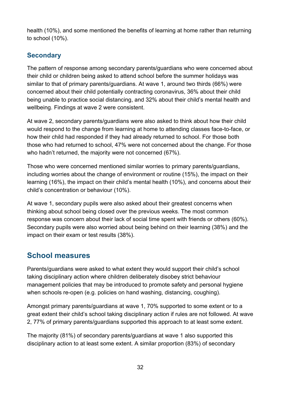health (10%), and some mentioned the benefits of learning at home rather than returning to school (10%).

### <span id="page-31-0"></span>**Secondary**

The pattern of response among secondary parents/guardians who were concerned about their child or children being asked to attend school before the summer holidays was similar to that of primary parents/guardians. At wave 1, around two thirds (66%) were concerned about their child potentially contracting coronavirus, 36% about their child being unable to practice social distancing, and 32% about their child's mental health and wellbeing. Findings at wave 2 were consistent.

At wave 2, secondary parents/guardians were also asked to think about how their child would respond to the change from learning at home to attending classes face-to-face, or how their child had responded if they had already returned to school. For those both those who had returned to school, 47% were not concerned about the change. For those who hadn't returned, the majority were not concerned (67%).

Those who were concerned mentioned similar worries to primary parents/guardians, including worries about the change of environment or routine (15%), the impact on their learning (16%), the impact on their child's mental health (10%), and concerns about their child's concentration or behaviour (10%).

At wave 1, secondary pupils were also asked about their greatest concerns when thinking about school being closed over the previous weeks. The most common response was concern about their lack of social time spent with friends or others (60%). Secondary pupils were also worried about being behind on their learning (38%) and the impact on their exam or test results (38%).

# <span id="page-31-1"></span>**School measures**

Parents/guardians were asked to what extent they would support their child's school taking disciplinary action where children deliberately disobey strict behaviour management policies that may be introduced to promote safety and personal hygiene when schools re-open (e.g. policies on hand washing, distancing, coughing).

Amongst primary parents/guardians at wave 1, 70% supported to some extent or to a great extent their child's school taking disciplinary action if rules are not followed. At wave 2, 77% of primary parents/guardians supported this approach to at least some extent.

The majority (81%) of secondary parents/guardians at wave 1 also supported this disciplinary action to at least some extent. A similar proportion (83%) of secondary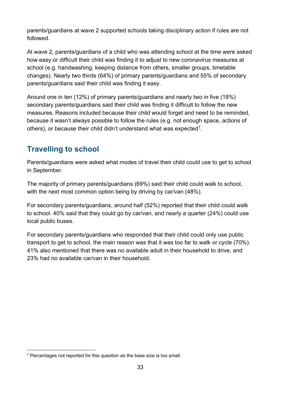parents/guardians at wave 2 supported schools taking disciplinary action if rules are not followed.

At wave 2, parents/guardians of a child who was attending school at the time were asked how easy or difficult their child was finding it to adjust to new coronavirus measures at school (e.g. handwashing, keeping distance from others, smaller groups, timetable changes). Nearly two thirds (64%) of primary parents/guardians and 55% of secondary parents/guardians said their child was finding it easy.

Around one in ten (12%) of primary parents/guardians and nearly two in five (18%) secondary parents/guardians said their child was finding it difficult to follow the new measures. Reasons included because their child would forget and need to be reminded, because it wasn't always possible to follow the rules (e.g. not enough space, actions of others), or because their child didn't understand what was expected[7.](#page-32-1)

# <span id="page-32-0"></span>**Travelling to school**

Parents/guardians were asked what modes of travel their child could use to get to school in September.

The majority of primary parents/guardians (69%) said their child could walk to school, with the next most common option being by driving by car/van (48%).

For secondary parents/guardians, around half (52%) reported that their child could walk to school. 40% said that they could go by car/van, and nearly a quarter (24%) could use local public buses.

For secondary parents/guardians who responded that their child could only use public transport to get to school, the main reason was that it was too far to walk or cycle (70%). 41% also mentioned that there was no available adult in their household to drive, and 23% had no available car/van in their household.

<span id="page-32-1"></span> $7$  Percentages not reported for this question as the base size is too small.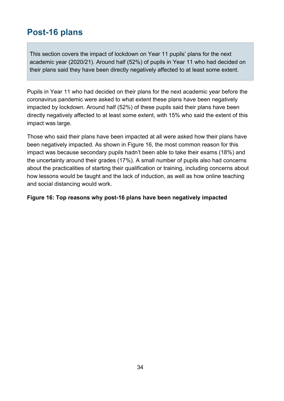# <span id="page-33-0"></span>**Post-16 plans**

This section covers the impact of lockdown on Year 11 pupils' plans for the next academic year (2020/21). Around half (52%) of pupils in Year 11 who had decided on their plans said they have been directly negatively affected to at least some extent.

Pupils in Year 11 who had decided on their plans for the next academic year before the coronavirus pandemic were asked to what extent these plans have been negatively impacted by lockdown. Around half (52%) of these pupils said their plans have been directly negatively affected to at least some extent, with 15% who said the extent of this impact was large.

Those who said their plans have been impacted at all were asked how their plans have been negatively impacted. As shown in [Figure 16,](#page-33-1) the most common reason for this impact was because secondary pupils hadn't been able to take their exams (18%) and the uncertainty around their grades (17%). A small number of pupils also had concerns about the practicalities of starting their qualification or training, including concerns about how lessons would be taught and the lack of induction, as well as how online teaching and social distancing would work.

#### <span id="page-33-1"></span>**Figure 16: Top reasons why post-16 plans have been negatively impacted**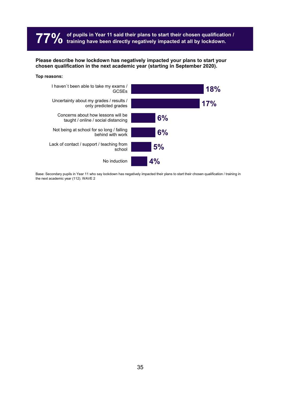# **77% of pupils in Year 11 said their plans to start their chosen qualification / training have been directly negatively impacted at all by lockdown.**

**Please describe how lockdown has negatively impacted your plans to start your chosen qualification in the next academic year (starting in September 2020).**

#### **Top reasons:**



Base: Secondary pupils in Year 11 who say lockdown has negatively impacted their plans to start their chosen qualification / training in the next academic year (112). WAVE 2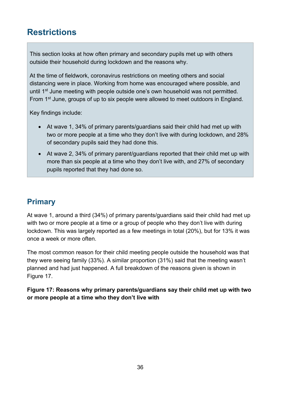# <span id="page-35-0"></span>**Restrictions**

This section looks at how often primary and secondary pupils met up with others outside their household during lockdown and the reasons why.

At the time of fieldwork, coronavirus restrictions on meeting others and social distancing were in place. Working from home was encouraged where possible, and until 1<sup>st</sup> June meeting with people outside one's own household was not permitted. From 1<sup>st</sup> June, groups of up to six people were allowed to meet outdoors in England.

Key findings include:

- At wave 1, 34% of primary parents/guardians said their child had met up with two or more people at a time who they don't live with during lockdown, and 28% of secondary pupils said they had done this.
- At wave 2, 34% of primary parent/guardians reported that their child met up with more than six people at a time who they don't live with, and 27% of secondary pupils reported that they had done so.

# <span id="page-35-1"></span>**Primary**

At wave 1, around a third (34%) of primary parents/guardians said their child had met up with two or more people at a time or a group of people who they don't live with during lockdown. This was largely reported as a few meetings in total (20%), but for 13% it was once a week or more often.

The most common reason for their child meeting people outside the household was that they were seeing family (33%). A similar proportion (31%) said that the meeting wasn't planned and had just happened. A full breakdown of the reasons given is shown in [Figure 17.](#page-35-2)

<span id="page-35-2"></span>**Figure 17: Reasons why primary parents/guardians say their child met up with two or more people at a time who they don't live with**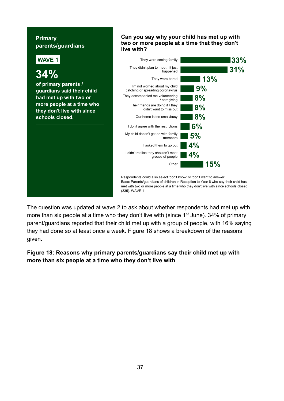#### **Primary parents/guardians**



**Can you say why your child has met up with two or more people at a time that they don't** 

The question was updated at wave 2 to ask about whether respondents had met up with more than six people at a time who they don't live with (since 1<sup>st</sup> June). 34% of primary parent/guardians reported that their child met up with a group of people, with 16% saying they had done so at least once a week. [Figure 18](#page-36-0) shows a breakdown of the reasons given.

<span id="page-36-0"></span>**Figure 18: Reasons why primary parents/guardians say their child met up with more than six people at a time who they don't live with**

#### 37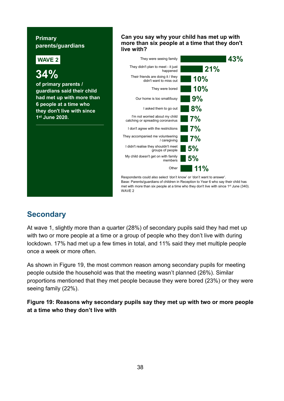#### **Primary parents/guardians**



**Can you say why your child has met up with more than six people at a time that they don't** 

# <span id="page-37-0"></span>**Secondary**

At wave 1, slightly more than a quarter (28%) of secondary pupils said they had met up with two or more people at a time or a group of people who they don't live with during lockdown. 17% had met up a few times in total, and 11% said they met multiple people once a week or more often.

As shown in [Figure 19,](#page-37-1) the most common reason among secondary pupils for meeting people outside the household was that the meeting wasn't planned (26%). Similar proportions mentioned that they met people because they were bored (23%) or they were seeing family (22%).

<span id="page-37-1"></span>**Figure 19: Reasons why secondary pupils say they met up with two or more people at a time who they don't live with**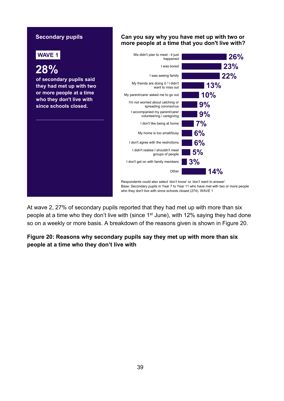#### **Can you say why you have met up with two or more people at a time that you don't live with? 26% 23% 22% 13% 10% 9% 9% 7% 6% 6% 5% 3% 14%** We didn't plan to meet - it just happened I was bored I was seeing family My friends are doing it / I didn't want to miss out My parent/carer asked me to go out I'm not worried about catching or spreading coronavirus I accompanied my parent/carer volunteering / caregiving I don't like being at home My home is too small/busy I don't agree with the restrictions I didn't realise I shouldn't meet groups of people I don't get on with family members **Other** Respondents could also select 'don't know' or 'don't want to answer'. Base: Secondary pupils in Year 7 to Year 11 who have met with two or more people who they don't live with since schools closed (274). WAVE 1 **Secondary pupils WAVE 1 28% of secondary pupils said they had met up with two or more people at a time who they don't live with since schools closed.**

At wave 2, 27% of secondary pupils reported that they had met up with more than six people at a time who they don't live with (since 1<sup>st</sup> June), with 12% saying they had done so on a weekly or more basis. A breakdown of the reasons given is shown in [Figure 20.](#page-38-0)

<span id="page-38-0"></span>**Figure 20: Reasons why secondary pupils say they met up with more than six people at a time who they don't live with**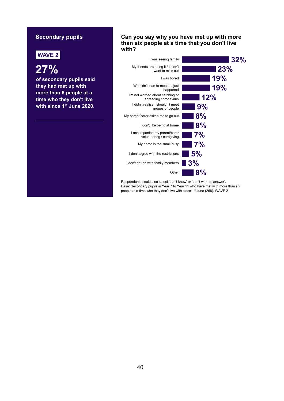#### **Secondary pupils**

# **WAVE 2**

**27%**

**of secondary pupils said they had met up with more than 6 people at a time who they don't live with since 1st June 2020.** 

#### **Can you say why you have met up with more than six people at a time that you don't live with?**

| I was seeing family                                        | 32%   |
|------------------------------------------------------------|-------|
| My friends are doing it / I didn't<br>want to miss out     | 23%   |
| I was bored                                                | 19%   |
| We didn't plan to meet - it just<br>happened               | 19%   |
| I'm not worried about catching or<br>spreading coronavirus | 12%   |
| I didn't realise I shouldn't meet<br>groups of people      | 9%    |
| My parent/carer asked me to go out                         | 8%    |
| I don't like being at home                                 | 8%    |
| I accompanied my parent/carer<br>volunteering / caregiving | 7%    |
| My home is too small/busy                                  | 7%    |
| I don't agree with the restrictions                        | 5%    |
| I don't get on with family members                         | 3%    |
| Other                                                      | $8\%$ |

Respondents could also select 'don't know' or 'don't want to answer'. Base: Secondary pupils in Year 7 to Year 11 who have met with more than six people at a time who they don't live with since 1st June (268). WAVE 2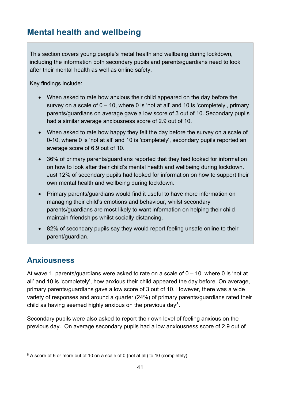# <span id="page-40-0"></span>**Mental health and wellbeing**

This section covers young people's metal health and wellbeing during lockdown, including the information both secondary pupils and parents/guardians need to look after their mental health as well as online safety.

Key findings include:

- When asked to rate how anxious their child appeared on the day before the survey on a scale of  $0 - 10$ , where 0 is 'not at all' and 10 is 'completely', primary parents/guardians on average gave a low score of 3 out of 10. Secondary pupils had a similar average anxiousness score of 2.9 out of 10.
- When asked to rate how happy they felt the day before the survey on a scale of 0-10, where 0 is 'not at all' and 10 is 'completely', secondary pupils reported an average score of 6.9 out of 10.
- 36% of primary parents/guardians reported that they had looked for information on how to look after their child's mental health and wellbeing during lockdown. Just 12% of secondary pupils had looked for information on how to support their own mental health and wellbeing during lockdown.
- Primary parents/guardians would find it useful to have more information on managing their child's emotions and behaviour, whilst secondary parents/guardians are most likely to want information on helping their child maintain friendships whilst socially distancing.
- 82% of secondary pupils say they would report feeling unsafe online to their parent/guardian.

# <span id="page-40-1"></span>**Anxiousness**

At wave 1, parents/guardians were asked to rate on a scale of  $0 - 10$ , where 0 is 'not at all' and 10 is 'completely', how anxious their child appeared the day before. On average, primary parents/guardians gave a low score of 3 out of 10. However, there was a wide variety of responses and around a quarter (24%) of primary parents/guardians rated their child as having seemed highly anxious on the previous day $8$ .

Secondary pupils were also asked to report their own level of feeling anxious on the previous day. On average secondary pupils had a low anxiousness score of 2.9 out of

<span id="page-40-2"></span><sup>&</sup>lt;sup>8</sup> A score of 6 or more out of 10 on a scale of 0 (not at all) to 10 (completely).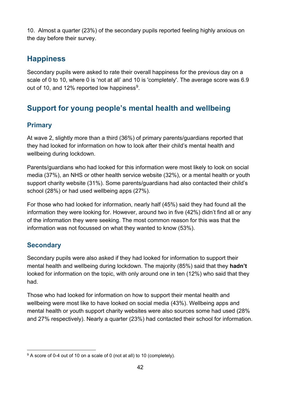10. Almost a quarter (23%) of the secondary pupils reported feeling highly anxious on the day before their survey.

# <span id="page-41-0"></span>**Happiness**

Secondary pupils were asked to rate their overall happiness for the previous day on a scale of 0 to 10, where 0 is 'not at all' and 10 is 'completely'. The average score was 6.9 out of 10, and 12% reported low happiness<sup>9</sup>.

# <span id="page-41-1"></span>**Support for young people's mental health and wellbeing**

### <span id="page-41-2"></span>**Primary**

At wave 2, slightly more than a third (36%) of primary parents/guardians reported that they had looked for information on how to look after their child's mental health and wellbeing during lockdown.

Parents/guardians who had looked for this information were most likely to look on social media (37%), an NHS or other health service website (32%), or a mental health or youth support charity website (31%). Some parents/guardians had also contacted their child's school (28%) or had used wellbeing apps (27%).

For those who had looked for information, nearly half (45%) said they had found all the information they were looking for. However, around two in five (42%) didn't find all or any of the information they were seeking. The most common reason for this was that the information was not focussed on what they wanted to know (53%).

### <span id="page-41-3"></span>**Secondary**

Secondary pupils were also asked if they had looked for information to support their mental health and wellbeing during lockdown. The majority (85%) said that they **hadn't** looked for information on the topic, with only around one in ten (12%) who said that they had.

Those who had looked for information on how to support their mental health and wellbeing were most like to have looked on social media (43%). Wellbeing apps and mental health or youth support charity websites were also sources some had used (28% and 27% respectively). Nearly a quarter (23%) had contacted their school for information.

<span id="page-41-4"></span> $9$  A score of 0-4 out of 10 on a scale of 0 (not at all) to 10 (completely).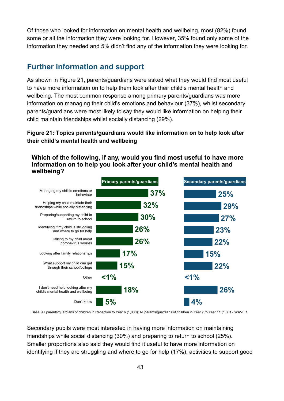Of those who looked for information on mental health and wellbeing, most (82%) found some or all the information they were looking for. However, 35% found only some of the information they needed and 5% didn't find any of the information they were looking for.

### <span id="page-42-0"></span>**Further information and support**

As shown in [Figure 21,](#page-42-1) parents/guardians were asked what they would find most useful to have more information on to help them look after their child's mental health and wellbeing. The most common response among primary parents/guardians was more information on managing their child's emotions and behaviour (37%), whilst secondary parents/guardians were most likely to say they would like information on helping their child maintain friendships whilst socially distancing (29%).

#### <span id="page-42-1"></span>**Figure 21: Topics parents/guardians would like information on to help look after their child's mental health and wellbeing**

**Which of the following, if any, would you find most useful to have more information on to help you look after your child's mental health and wellbeing?**



Base: All parents/guardians of children in Reception to Year 6 (1,000); All parents/guardians of children in Year 7 to Year 11 (1,001). WAVE 1.

Secondary pupils were most interested in having more information on maintaining friendships while social distancing (30%) and preparing to return to school (25%). Smaller proportions also said they would find it useful to have more information on identifying if they are struggling and where to go for help (17%), activities to support good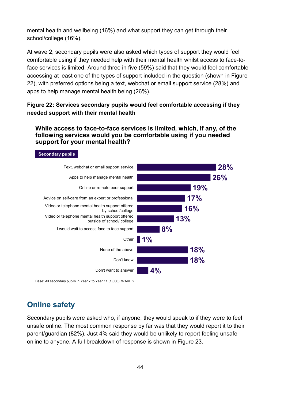mental health and wellbeing (16%) and what support they can get through their school/college (16%).

At wave 2, secondary pupils were also asked which types of support they would feel comfortable using if they needed help with their mental health whilst access to face-toface services is limited. Around three in five (59%) said that they would feel comfortable accessing at least one of the types of support included in the question (shown in [Figure](#page-43-1)  [22\)](#page-43-1), with preferred options being a text, webchat or email support service (28%) and apps to help manage mental health being (26%).

#### <span id="page-43-1"></span>**Figure 22: Services secondary pupils would feel comfortable accessing if they needed support with their mental health**

#### **While access to face-to-face services is limited, which, if any, of the following services would you be comfortable using if you needed support for your mental health?**



Base: All secondary pupils in Year 7 to Year 11 (1,000). WAVE 2

# <span id="page-43-0"></span>**Online safety**

**Secondary pupils**

Secondary pupils were asked who, if anyone, they would speak to if they were to feel unsafe online. The most common response by far was that they would report it to their parent/guardian (82%). Just 4% said they would be unlikely to report feeling unsafe online to anyone. A full breakdown of response is shown in [Figure 23.](#page-44-0)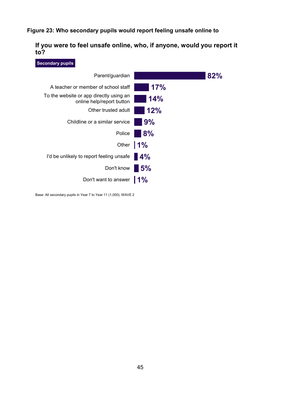#### <span id="page-44-0"></span>**Figure 23: Who secondary pupils would report feeling unsafe online to**

**If you were to feel unsafe online, who, if anyone, would you report it to?**



Base: All secondary pupils in Year 7 to Year 11 (1,000). WAVE 2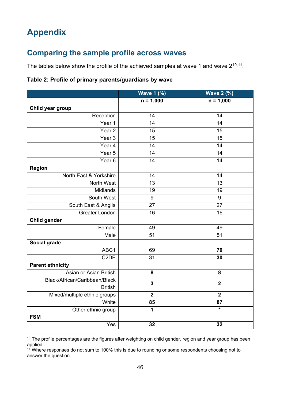# <span id="page-45-0"></span>**Appendix**

# <span id="page-45-1"></span>**Comparing the sample profile across waves**

The tables below show the profile of the achieved samples at wave 1 and wave  $2^{10,11}$  $2^{10,11}$  $2^{10,11}$ .

#### **Table 2: Profile of primary parents/guardians by wave**

|                               | <b>Wave 1 (%)</b>       | <b>Wave 2 (%)</b> |
|-------------------------------|-------------------------|-------------------|
|                               | $n = 1,000$             | $n = 1,000$       |
| Child year group              |                         |                   |
| Reception                     | 14                      | 14                |
| Year 1                        | 14                      | 14                |
| Year <sub>2</sub>             | 15                      | 15                |
| Year <sub>3</sub>             | 15                      | 15                |
| Year 4                        | 14                      | 14                |
| Year 5                        | 14                      | 14                |
| Year <sub>6</sub>             | 14                      | 14                |
| <b>Region</b>                 |                         |                   |
| North East & Yorkshire        | 14                      | 14                |
| North West                    | 13                      | 13                |
| <b>Midlands</b>               | 19                      | 19                |
| South West                    | $\boldsymbol{9}$        | $9\,$             |
| South East & Anglia           | 27                      | 27                |
| <b>Greater London</b>         | 16                      | 16                |
| <b>Child gender</b>           |                         |                   |
| Female                        | 49                      | 49                |
| Male                          | 51                      | 51                |
| <b>Social grade</b>           |                         |                   |
| ABC1                          | 69                      | 70                |
| C <sub>2</sub> DE             | 31                      | 30                |
| <b>Parent ethnicity</b>       |                         |                   |
| Asian or Asian British        | 8                       | 8                 |
| Black/African/Caribbean/Black | $\mathbf{3}$            | $\boldsymbol{2}$  |
| <b>British</b>                |                         |                   |
| Mixed/multiple ethnic groups  | $\overline{\mathbf{2}}$ | $\boldsymbol{2}$  |
| White                         | 85                      | 87                |
| Other ethnic group            | 1                       | $\star$           |
| <b>FSM</b>                    |                         |                   |
| Yes                           | 32                      | 32                |

<span id="page-45-2"></span> $10$  The profile percentages are the figures after weighting on child gender, region and year group has been applied.

<span id="page-45-3"></span> $11$  Where responses do not sum to 100% this is due to rounding or some respondents choosing not to answer the question.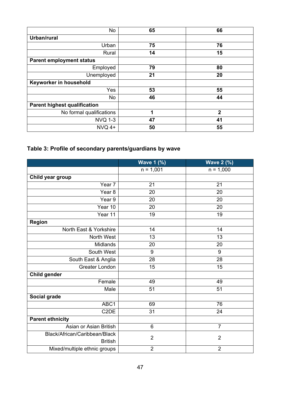| No                                  | 65 | 66             |
|-------------------------------------|----|----------------|
| Urban/rural                         |    |                |
| Urban                               | 75 | 76             |
| Rural                               | 14 | 15             |
| <b>Parent employment status</b>     |    |                |
| Employed                            | 79 | 80             |
| Unemployed                          | 21 | 20             |
| Keyworker in household              |    |                |
| Yes                                 | 53 | 55             |
| No                                  | 46 | 44             |
| <b>Parent highest qualification</b> |    |                |
| No formal qualifications            | 4  | $\overline{2}$ |
| <b>NVQ 1-3</b>                      | 47 | 41             |
| $NVO$ 4+                            | 50 | 55             |

# **Table 3: Profile of secondary parents/guardians by wave**

|                               | <b>Wave 1 (%)</b> | <b>Wave 2 (%)</b> |
|-------------------------------|-------------------|-------------------|
|                               | $n = 1,001$       | $n = 1,000$       |
| Child year group              |                   |                   |
| Year 7                        | 21                | 21                |
| Year <sub>8</sub>             | 20                | 20                |
| Year 9                        | 20                | 20                |
| Year 10                       | 20                | 20                |
| Year 11                       | 19                | 19                |
| <b>Region</b>                 |                   |                   |
| North East & Yorkshire        | 14                | 14                |
| North West                    | 13                | 13                |
| <b>Midlands</b>               | 20                | 20                |
| South West                    | 9                 | 9                 |
| South East & Anglia           | 28                | 28                |
| <b>Greater London</b>         | $\overline{15}$   | 15                |
| <b>Child gender</b>           |                   |                   |
| Female                        | 49                | 49                |
| Male                          | 51                | 51                |
| Social grade                  |                   |                   |
| ABC1                          | 69                | 76                |
| C <sub>2</sub> DE             | 31                | 24                |
| <b>Parent ethnicity</b>       |                   |                   |
| Asian or Asian British        | 6                 | $\overline{7}$    |
| Black/African/Caribbean/Black | $\overline{2}$    | $\overline{2}$    |
| <b>British</b>                |                   |                   |
| Mixed/multiple ethnic groups  | $\overline{2}$    | $\overline{2}$    |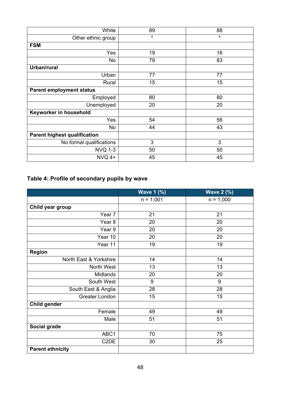| White                               | 89 | 88      |
|-------------------------------------|----|---------|
| Other ethnic group                  | *  | $\star$ |
| <b>FSM</b>                          |    |         |
| Yes                                 | 19 | 16      |
| No                                  | 79 | 83      |
| Urban/rural                         |    |         |
| Urban                               | 77 | 77      |
| Rural                               | 15 | 15      |
| <b>Parent employment status</b>     |    |         |
| Employed                            | 80 | 80      |
| Unemployed                          | 20 | 20      |
| Keyworker in household              |    |         |
| Yes                                 | 54 | 56      |
| No                                  | 44 | 43      |
| <b>Parent highest qualification</b> |    |         |
| No formal qualifications            | 3  | 3       |
| <b>NVQ 1-3</b>                      | 50 | 50      |
| $NVO$ 4+                            | 45 | 45      |

# **Table 4: Profile of secondary pupils by wave**

|                         | <b>Wave 1 (%)</b> | <b>Wave 2 (%)</b> |
|-------------------------|-------------------|-------------------|
|                         | $n = 1,001$       | $n = 1,000$       |
| Child year group        |                   |                   |
| Year 7                  | 21                | 21                |
| Year 8                  | 20                | 20                |
| Year 9                  | 20                | 20                |
| Year 10                 | 20                | 20                |
| Year 11                 | 19                | 19                |
| <b>Region</b>           |                   |                   |
| North East & Yorkshire  | 14                | 14                |
| North West              | 13                | 13                |
| <b>Midlands</b>         | 20                | 20                |
| South West              | 9                 | 9                 |
| South East & Anglia     | 28                | 28                |
| <b>Greater London</b>   | 15                | 15                |
| Child gender            |                   |                   |
| Female                  | 49                | 49                |
| Male                    | 51                | 51                |
| Social grade            |                   |                   |
| ABC <sub>1</sub>        | 70                | 75                |
| C <sub>2</sub> DE       | 30                | 25                |
| <b>Parent ethnicity</b> |                   |                   |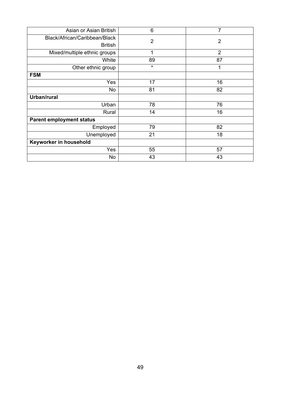| Asian or Asian British          | 6              | $\overline{7}$ |
|---------------------------------|----------------|----------------|
| Black/African/Caribbean/Black   | $\overline{2}$ | $\overline{2}$ |
| <b>British</b>                  |                |                |
| Mixed/multiple ethnic groups    | 1              | $\overline{2}$ |
| White                           | 89             | 87             |
| Other ethnic group              | $\star$        | 1              |
| <b>FSM</b>                      |                |                |
| Yes                             | 17             | 16             |
| No                              | 81             | 82             |
| Urban/rural                     |                |                |
| Urban                           | 78             | 76             |
| Rural                           | 14             | 16             |
| <b>Parent employment status</b> |                |                |
| Employed                        | 79             | 82             |
| Unemployed                      | 21             | 18             |
| Keyworker in household          |                |                |
| Yes                             | 55             | 57             |
| No                              | 43             | 43             |